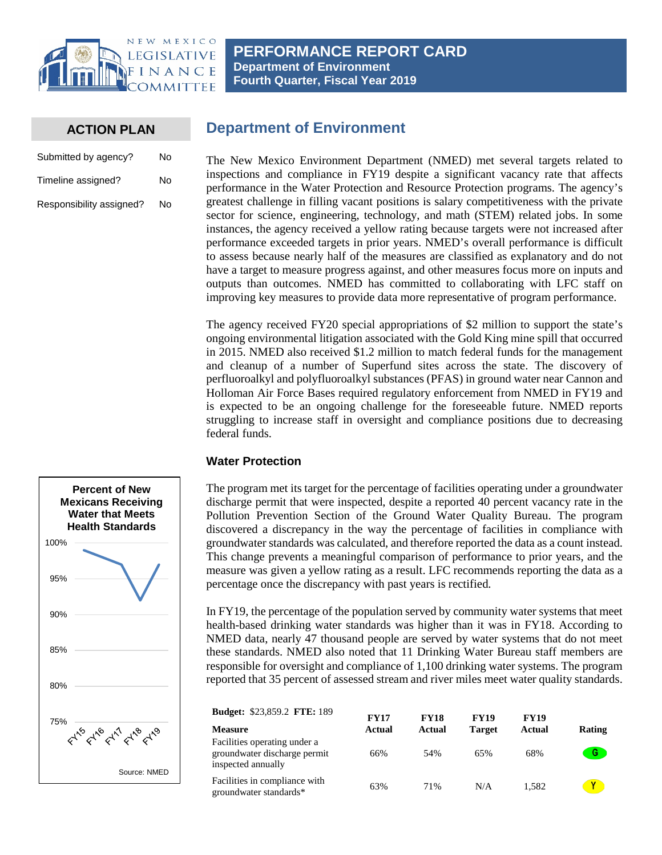

**PERFORMANCE REPORT CARD Department of Environment Fourth Quarter, Fiscal Year 2019**

## **ACTION PLAN**

| Submitted by agency?     | No |
|--------------------------|----|
| Timeline assigned?       | No |
| Responsibility assigned? | No |

# **Department of Environment**

The New Mexico Environment Department (NMED) met several targets related to inspections and compliance in FY19 despite a significant vacancy rate that affects performance in the Water Protection and Resource Protection programs. The agency's greatest challenge in filling vacant positions is salary competitiveness with the private sector for science, engineering, technology, and math (STEM) related jobs. In some instances, the agency received a yellow rating because targets were not increased after performance exceeded targets in prior years. NMED's overall performance is difficult to assess because nearly half of the measures are classified as explanatory and do not have a target to measure progress against, and other measures focus more on inputs and outputs than outcomes. NMED has committed to collaborating with LFC staff on improving key measures to provide data more representative of program performance.

The agency received FY20 special appropriations of \$2 million to support the state's ongoing environmental litigation associated with the Gold King mine spill that occurred in 2015. NMED also received \$1.2 million to match federal funds for the management and cleanup of a number of Superfund sites across the state. The discovery of perfluoroalkyl and polyfluoroalkyl substances (PFAS) in ground water near Cannon and Holloman Air Force Bases required regulatory enforcement from NMED in FY19 and is expected to be an ongoing challenge for the foreseeable future. NMED reports struggling to increase staff in oversight and compliance positions due to decreasing federal funds.

#### **Water Protection**

The program met its target for the percentage of facilities operating under a groundwater discharge permit that were inspected, despite a reported 40 percent vacancy rate in the Pollution Prevention Section of the Ground Water Quality Bureau. The program discovered a discrepancy in the way the percentage of facilities in compliance with groundwater standards was calculated, and therefore reported the data as a count instead. This change prevents a meaningful comparison of performance to prior years, and the measure was given a yellow rating as a result. LFC recommends reporting the data as a percentage once the discrepancy with past years is rectified.

In FY19, the percentage of the population served by community water systems that meet health-based drinking water standards was higher than it was in FY18. According to NMED data, nearly 47 thousand people are served by water systems that do not meet these standards. NMED also noted that 11 Drinking Water Bureau staff members are responsible for oversight and compliance of 1,100 drinking water systems. The program reported that 35 percent of assessed stream and river miles meet water quality standards.

| <b>Budget: \$23,859.2 FTE: 189</b>                                                 | <b>FY17</b> | <b>FY18</b> | <b>FY19</b>   | <b>FY19</b> |        |
|------------------------------------------------------------------------------------|-------------|-------------|---------------|-------------|--------|
| <b>Measure</b>                                                                     | Actual      | Actual      | <b>Target</b> | Actual      | Rating |
| Facilities operating under a<br>groundwater discharge permit<br>inspected annually | 66%         | 54%         | 65%           | 68%         | G      |
| Facilities in compliance with<br>groundwater standards*                            | 63%         | 71%         | N/A           | 1.582       |        |

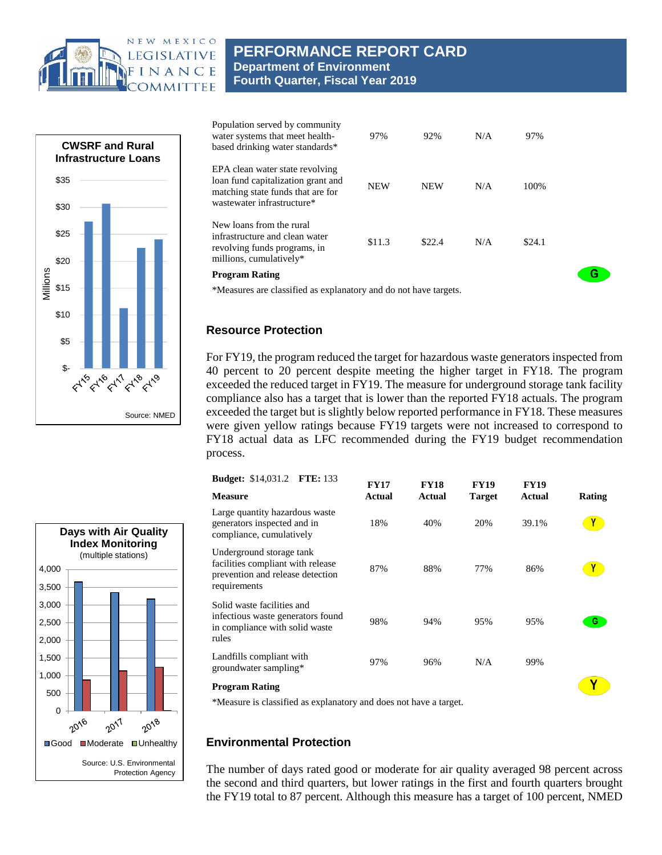

## **PERFORMANCE REPORT CARD Department of Environment Fourth Quarter, Fiscal Year 2019**



| Population served by community<br>water systems that meet health-<br>based drinking water standards*                                     | 97%        | 92%        | N/A | 97%    |  |
|------------------------------------------------------------------------------------------------------------------------------------------|------------|------------|-----|--------|--|
| EPA clean water state revolving<br>loan fund capitalization grant and<br>matching state funds that are for<br>wastewater infrastructure* | <b>NEW</b> | <b>NEW</b> | N/A | 100%   |  |
| New loans from the rural<br>infrastructure and clean water<br>revolving funds programs, in<br>millions, cumulatively*                    | \$11.3     | \$22.4     | N/A | \$24.1 |  |
| <b>Program Rating</b>                                                                                                                    |            |            |     |        |  |
| $\mathbf{r}$                                                                                                                             |            |            |     |        |  |

\*Measures are classified as explanatory and do not have targets.

## **Resource Protection**

For FY19, the program reduced the target for hazardous waste generators inspected from 40 percent to 20 percent despite meeting the higher target in FY18. The program exceeded the reduced target in FY19. The measure for underground storage tank facility compliance also has a target that is lower than the reported FY18 actuals. The program exceeded the target but is slightly below reported performance in FY18. These measures were given yellow ratings because FY19 targets were not increased to correspond to FY18 actual data as LFC recommended during the FY19 budget recommendation process.

G

| <b>Budget: \$14,031.2 FTE: 133</b>                                                                                | <b>FY17</b> | <b>FY18</b> | <b>FY19</b>   | <b>FY19</b> |               |
|-------------------------------------------------------------------------------------------------------------------|-------------|-------------|---------------|-------------|---------------|
| <b>Measure</b>                                                                                                    | Actual      | Actual      | <b>Target</b> | Actual      | <b>Rating</b> |
| Large quantity hazardous waste<br>generators inspected and in<br>compliance, cumulatively                         | 18%         | 40%         | 20%           | 39.1%       |               |
| Underground storage tank<br>facilities compliant with release<br>prevention and release detection<br>requirements | 87%         | 88%         | 77%           | 86%         |               |
| Solid waste facilities and<br>infectious waste generators found<br>in compliance with solid waste<br>rules        | 98%         | 94%         | 95%           | 95%         | G             |
| Landfills compliant with<br>groundwater sampling*                                                                 | 97%         | 96%         | N/A           | 99%         |               |
| <b>Program Rating</b>                                                                                             |             |             |               |             |               |

\*Measure is classified as explanatory and does not have a target.

## **Environmental Protection**

The number of days rated good or moderate for air quality averaged 98 percent across the second and third quarters, but lower ratings in the first and fourth quarters brought the FY19 total to 87 percent. Although this measure has a target of 100 percent, NMED